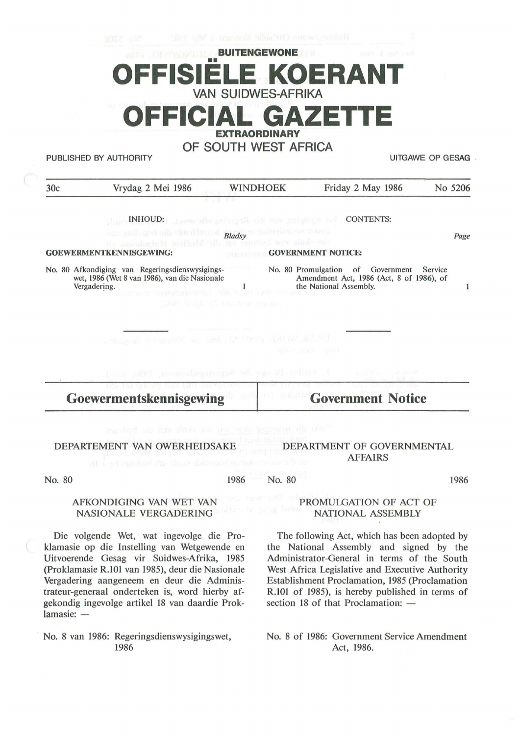# **ITENGEWONE** •• **OFFISIELE KOERANT VAN SUIDWES-AFRIKA OFFICIAL GAZET EXTRAORDINARY OF SOUTH WEST AFRICA**

PUBLISHED BY AUTHORITY UITGAWE OP GESAG .

| 30c                            | Vrydag 2 Mei 1986                                                                                                                                                                      | <b>WINDHOEK</b>           | Friday 2 May 1986                                                                                                  | No 5206 |
|--------------------------------|----------------------------------------------------------------------------------------------------------------------------------------------------------------------------------------|---------------------------|--------------------------------------------------------------------------------------------------------------------|---------|
|                                | <b>XIXINA</b>                                                                                                                                                                          |                           |                                                                                                                    |         |
|                                | INHOUD: Japanesh and particular and privileges and                                                                                                                                     |                           | <b>CONTENTS:</b>                                                                                                   |         |
|                                | nin gallaged alb chastleriest <b>Bladsy</b> a galueizione misen<br>the applicate the control die bieding Holodona cit                                                                  |                           |                                                                                                                    | Page    |
| <b>GOEWERMENTKENNISGEWING:</b> |                                                                                                                                                                                        | <b>GOVERNMENT NOTICE:</b> |                                                                                                                    |         |
| Vergadering.                   | No. 80 Afkondiging van Regeringsdienswysigings-<br>wet, 1986 (Wet 8 van 1986), van die Nasionale<br>untimeter disposition that this substracted a roof<br>LISS LEAR IS NO A DO PRODUCT |                           | No. 80 Promulgation of Government<br>Service<br>Amendment Act, 1986 (Act, 8 of 1986), of<br>the National Assembly. | 1       |
|                                | which Works at death of death standard Vergins                                                                                                                                         |                           | microcon van                                                                                                       |         |
|                                |                                                                                                                                                                                        |                           | selection and in Attilian Breast Me Regeriance, home page, and                                                     |         |
|                                | <b>ACA INTERFECTIVE CHARTERS OF</b><br>Goewermentskennisgewing                                                                                                                         |                           | <b>Covernment Notice</b>                                                                                           |         |
|                                | "Our die denings den vor water sich eigen die bedauen                                                                                                                                  |                           |                                                                                                                    |         |

### DEPARTEMENT VAN OWERHEIDSAKE

1986

No. 80 1986

#### AFKONDIGING VAN WET VAN NASIONALE VERGADERING PROMULGATION OF ACT OF NATIONAL ASSEMBLY

The following Act, which has been adopted by the National Assembly and signed by the Administrator-General in terms of the South West Africa Legislative and Executive Authority Establishment Proclamation, 1985 (Proclamation R.101 of 1985), is hereby published in terms of section 18 of that Proclamation:  $-$ 

DEPARTMENT OF GOVERNMENTAL AFFAIRS

No. 8 of 1986: Government Service Amendment Act, 1986.

No. 80

Die volgende Wet, wat ingevolge die Proklamasie op die Instelling van Wetgewende en

Uitvoerende Gesag vir Suidwes-Afrika, 1985 (Proklamasie R.101 van 1985), deur die Nasionale Vergadering aangeneem en deur die Administrateur-generaal onderteken is, word hierby afgekondig ingevolge artikel 18 van daardie Prok $lamasie: -$ 

No. 8 van 1986: Regeringsdienswysigingswet, 1986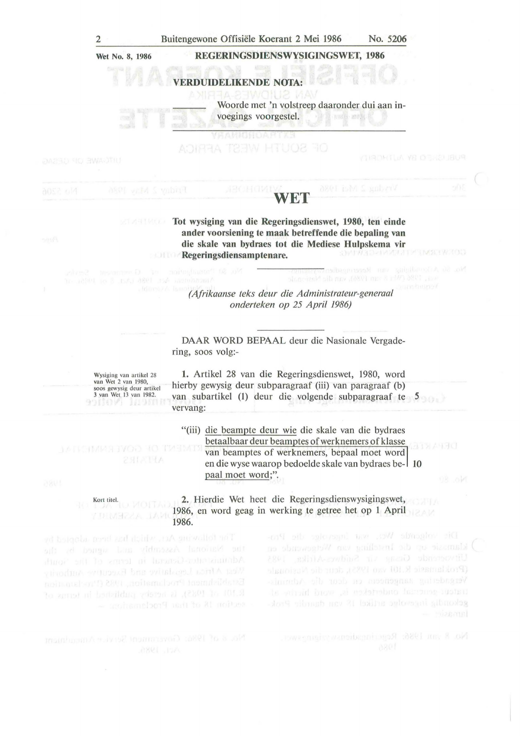